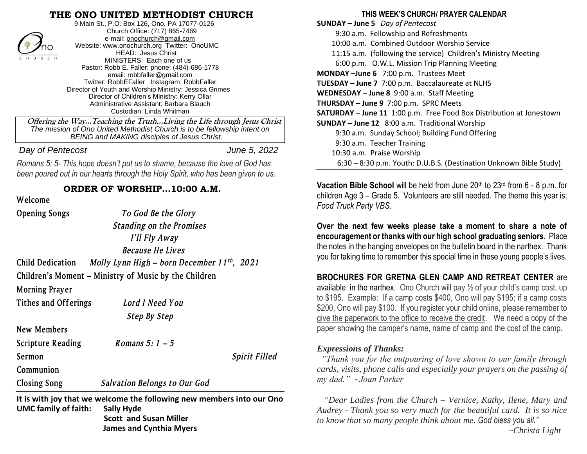#### **THE ONO UNITED METHODIST CHURCH**



 9 Main St., P.O. Box 126, Ono, PA 17077-0126 Church Office: (717) 865-7469 e-mail: [onochurch@gmail.com](mailto:onochurch@gmail.com) Website: [www.onochurch.org](http://www.onochurch.org/) Twitter: OnoUMC HEAD: Jesus Christ MINISTERS: Each one of us Pastor: Robb E. Faller; phone: (484)-686-1778 email: [robbfaller@gmail.com](mailto:robbfaller@gmail.com) Twitter: RobbEFaller Instagram: RobbFaller Director of Youth and Worship Ministry: Jessica Grimes Director of Children's Ministry: Kerry Ollar Administrative Assistant: Barbara Blauch Custodian: Linda Whitman

#### **Welcome**

| $\rightarrow$ 7no<br><b>HEAD: Jesus Christ</b><br>CHURCH<br>MINISTERS: Each one of us<br>Pastor: Robb E. Faller; phone: (484)-686-1778<br>email: robbfaller@gmail.com<br>Twitter: RobbEFaller Instagram: RobbFaller<br>Director of Youth and Worship Ministry: Jessica Grimes<br>Director of Children's Ministry: Kerry Ollar<br>Administrative Assistant: Barbara Blauch<br>Custodian: Linda Whitman<br>Offering the Way Teaching the Truth Living the Life through Jesus Christ<br>The mission of Ono United Methodist Church is to be fellowship intent on<br>BEING and MAKING disciples of Jesus Christ. |                                                                                                                                                               | <b>IO.OO a.IIII. COMMICA OULGOOI WORDING SCIVICE</b><br>11:15 a.m. (following the service) Children's Ministry Meeting<br>6:00 p.m. O.W.L. Mission Trip Planning Meeting<br>MONDAY-June 6 7:00 p.m. Trustees Meet<br>TUESDAY - June 7 7:00 p.m. Baccalaureate at NLHS<br>WEDNESDAY - June 8 9:00 a.m. Staff Meeting<br>THURSDAY - June 9 7:00 p.m. SPRC Meets<br>SATURDAY - June 11 1:00 p.m. Free Food Box Distribution at Jonestown |
|--------------------------------------------------------------------------------------------------------------------------------------------------------------------------------------------------------------------------------------------------------------------------------------------------------------------------------------------------------------------------------------------------------------------------------------------------------------------------------------------------------------------------------------------------------------------------------------------------------------|---------------------------------------------------------------------------------------------------------------------------------------------------------------|---------------------------------------------------------------------------------------------------------------------------------------------------------------------------------------------------------------------------------------------------------------------------------------------------------------------------------------------------------------------------------------------------------------------------------------|
|                                                                                                                                                                                                                                                                                                                                                                                                                                                                                                                                                                                                              |                                                                                                                                                               | SUNDAY - June 12 8:00 a.m. Traditional Worship<br>9:30 a.m. Sunday School; Building Fund Offering<br>9:30 a.m. Teacher Training                                                                                                                                                                                                                                                                                                       |
| Day of Pentecost                                                                                                                                                                                                                                                                                                                                                                                                                                                                                                                                                                                             | June 5, 2022                                                                                                                                                  | 10:30 a.m. Praise Worship                                                                                                                                                                                                                                                                                                                                                                                                             |
| Romans 5: 5- This hope doesn't put us to shame, because the love of God has<br>been poured out in our hearts through the Holy Spirit, who has been given to us.                                                                                                                                                                                                                                                                                                                                                                                                                                              |                                                                                                                                                               | 6:30 - 8:30 p.m. Youth: D.U.B.S. (Destination Unknown Bible Study)                                                                                                                                                                                                                                                                                                                                                                    |
| ORDER OF WORSHIP10:00 A.M.<br>Welcome                                                                                                                                                                                                                                                                                                                                                                                                                                                                                                                                                                        |                                                                                                                                                               | Vacation Bible School will be held from June 20th to 23rd from 6 - 8 p.m. f<br>children Age 3 – Grade 5. Volunteers are still needed. The theme this year<br>Food Truck Party VBS.                                                                                                                                                                                                                                                    |
| <b>Opening Songs</b><br><b>Child Dedication</b>                                                                                                                                                                                                                                                                                                                                                                                                                                                                                                                                                              | To God Be the Glory<br><b>Standing on the Promises</b><br>I'll Fly Away<br><b>Because He Lives</b><br>Molly Lynn High – born December 11 <sup>th</sup> , 2021 | Over the next few weeks please take a moment to share a note<br>encouragement or thanks with our high school graduating seniors. Pla<br>the notes in the hanging envelopes on the bulletin board in the narthex. That<br>you for taking time to remember this special time in these young people's live                                                                                                                               |
| Children's Moment – Ministry of Music by the Children<br><b>Morning Prayer</b><br>Lord I Need You<br><b>Tithes and Offerings</b><br><b>Step By Step</b><br><b>New Members</b>                                                                                                                                                                                                                                                                                                                                                                                                                                |                                                                                                                                                               | <b>BROCHURES FOR GRETNA GLEN CAMP AND RETREAT CENTER a</b><br>available in the narthex. Ono Church will pay $\frac{1}{2}$ of your child's camp cost, u<br>to \$195. Example: If a camp costs \$400, Ono will pay \$195; if a camp cos<br>\$200, Ono will pay \$100. If you register your child online, please remember<br>give the paperwork to the office to receive the credit. We need a copy of the                               |
|                                                                                                                                                                                                                                                                                                                                                                                                                                                                                                                                                                                                              |                                                                                                                                                               | paper showing the camper's name, name of camp and the cost of the camp                                                                                                                                                                                                                                                                                                                                                                |
| <b>Scripture Reading</b><br>Sermon<br>Communion<br><b>Closing Song</b>                                                                                                                                                                                                                                                                                                                                                                                                                                                                                                                                       | Romans $5:1-5$<br><b>Spirit Filled</b><br><b>Salvation Belongs to Our God</b>                                                                                 | <b>Expressions of Thanks:</b><br>"Thank you for the outpouring of love shown to our family throug<br>cards, visits, phone calls and especially your prayers on the passing<br>$my$ dad." $\sim$ Joan Parker                                                                                                                                                                                                                           |
| <b>UMC family of faith:</b>                                                                                                                                                                                                                                                                                                                                                                                                                                                                                                                                                                                  | It is with joy that we welcome the following new members into our Ono<br><b>Sally Hyde</b><br><b>Scott and Susan Miller</b><br><b>James and Cynthia Myers</b> | "Dear Ladies from the Church – Vernice, Kathy, Ilene, Mary ar<br>Audrey - Thank you so very much for the beautiful card. It is so nid<br>to know that so many people think about me. God bless you all."<br>$\nightharpoonup$ Christa Light                                                                                                                                                                                           |

 **THIS WEEK'S CHURCH/ PRAYER CALENDAR** 

**SUNDAY – June 5** *Day of Pentecost* 9:30 a.m. Fellowship and Refreshments 10:00 a.m. Combined Outdoor Worship Service 11:15 a.m. (following the service) Children's Ministry Meeting 6:00 p.m. O.W.L. Mission Trip Planning Meeting **MONDAY –June 6** 7:00 p.m. Trustees Meet **TUESDAY – June 7** 7:00 p.m. Baccalaureate at NLHS **WEDNESDAY – June 8** 9:00 a.m. Staff Meeting **THURSDAY – June 9** 7:00 p.m. SPRC Meets **SATURDAY – June 11** 1:00 p.m. Free Food Box Distribution at Jonestown **SUNDAY – June 12** 8:00 a.m. Traditional Worship 9:30 a.m. Sunday School; Building Fund Offering 9:30 a.m. Teacher Training 10:30 a.m. Praise Worship 6:30 – 8:30 p.m. Youth: D.U.B.S. (Destination Unknown Bible Study)

#### **BROCHURES FOR GRETNA GLEN CAMP AND RETREAT CENTER** are

#### *Expressions of Thanks:*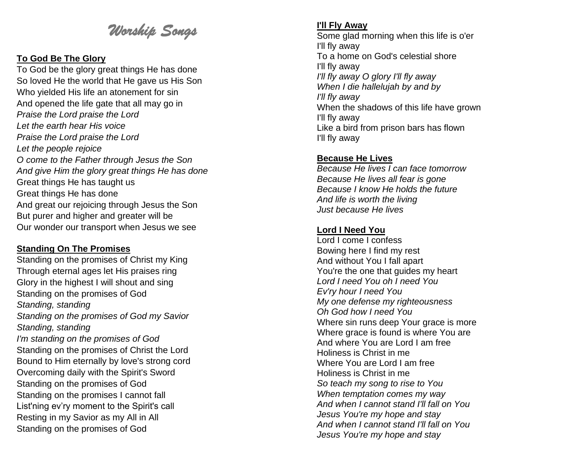# *Worship Songs*

#### **To God Be The Glory**

To God be the glory great things He has done So loved He the world that He gave us His Son Who yielded His life an atonement for sin And opened the life gate that all may go in *Praise the Lord praise the Lord Let the earth hear His voice Praise the Lord praise the Lord Let the people rejoice O come to the Father through Jesus the Son And give Him the glory great things He has done* Great things He has taught us Great things He has done And great our rejoicing through Jesus the Son But purer and higher and greater will be Our wonder our transport when Jesus we see

#### **Standing On The Promises**

Standing on the promises of Christ my King Through eternal ages let His praises ring Glory in the highest I will shout and sing Standing on the promises of God *Standing , standing Standing on the promises of God my Savior Standing , standing I'm standing on the promises of God* Standing on the promises of Christ the Lord Bound to Him eternally by love's strong cord Overcoming daily with the Spirit's Sword Standing on the promises of God Standing on the promises I cannot fall List'ning ev'ry moment to the Spirit's call Resting in my Savior as my All in All Standing on the promises of God

## **I'll Fly Away**

Some glad morning when this life is o'er I'll fly away To a home on God's celestial shore I'll fly away *I'll fly away O glory I'll fly away When I die hallelujah by and by I'll fly away* When the shadows of this life have grown I'll fly away Like a bird from prison bars has flown I'll fly away

### **Because He Lives**

*Because He lives I can face tomorrow Because He lives all fear is gone Because I know He holds the future And life is worth the living Just because He lives*

## **Lord I Need You**

Lord I come I confess Bowing here I find my rest And without You I fall apart You're the one that guides my heart *Lord I need You oh I need You Ev'ry hour I need You My one defense my righteousness Oh God how I need You* Where sin runs deep Your grace is more Where grace is found is where You are And where You are Lord I am free Holiness is Christ in me Where You are Lord I am free Holiness is Christ in me *So teach my song to rise to You When temptation comes my way And when I cannot stand I'll fall on You Jesus You're my hope and stay And when I cannot stand I'll fall on You Jesus You're my hope and stay*